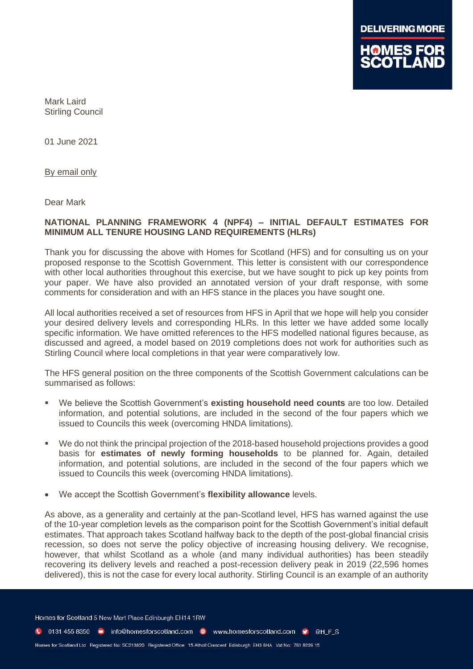

Mark Laird Stirling Council

01 June 2021

By email only

Dear Mark

## **NATIONAL PLANNING FRAMEWORK 4 (NPF4) – INITIAL DEFAULT ESTIMATES FOR MINIMUM ALL TENURE HOUSING LAND REQUIREMENTS (HLRs)**

Thank you for discussing the above with Homes for Scotland (HFS) and for consulting us on your proposed response to the Scottish Government. This letter is consistent with our correspondence with other local authorities throughout this exercise, but we have sought to pick up key points from your paper. We have also provided an annotated version of your draft response, with some comments for consideration and with an HFS stance in the places you have sought one.

All local authorities received a set of resources from HFS in April that we hope will help you consider your desired delivery levels and corresponding HLRs. In this letter we have added some locally specific information. We have omitted references to the HFS modelled national figures because, as discussed and agreed, a model based on 2019 completions does not work for authorities such as Stirling Council where local completions in that year were comparatively low.

The HFS general position on the three components of the Scottish Government calculations can be summarised as follows:

- We believe the Scottish Government's **existing household need counts** are too low. Detailed information, and potential solutions, are included in the second of the four papers which we issued to Councils this week (overcoming HNDA limitations).
- We do not think the principal projection of the 2018-based household projections provides a good basis for **estimates of newly forming households** to be planned for. Again, detailed information, and potential solutions, are included in the second of the four papers which we issued to Councils this week (overcoming HNDA limitations).
- We accept the Scottish Government's **flexibility allowance** levels.

As above, as a generality and certainly at the pan-Scotland level, HFS has warned against the use of the 10-year completion levels as the comparison point for the Scottish Government's initial default estimates. That approach takes Scotland halfway back to the depth of the post-global financial crisis recession, so does not serve the policy objective of increasing housing delivery. We recognise, however, that whilst Scotland as a whole (and many individual authorities) has been steadily recovering its delivery levels and reached a post-recession delivery peak in 2019 (22,596 homes delivered), this is not the case for every local authority. Stirling Council is an example of an authority

Homes for Scotland 5 New Mart Place Edinburgh EH14 1RW

C 0131 455 8350 m info@homesforscotland.com · www.homesforscotland.com • ©HFS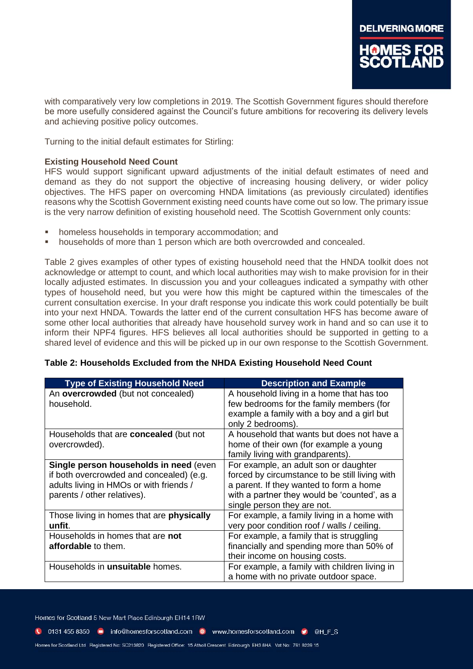

with comparatively very low completions in 2019. The Scottish Government figures should therefore be more usefully considered against the Council's future ambitions for recovering its delivery levels and achieving positive policy outcomes.

Turning to the initial default estimates for Stirling:

## **Existing Household Need Count**

HFS would support significant upward adjustments of the initial default estimates of need and demand as they do not support the objective of increasing housing delivery, or wider policy objectives. The HFS paper on overcoming HNDA limitations (as previously circulated) identifies reasons why the Scottish Government existing need counts have come out so low. The primary issue is the very narrow definition of existing household need. The Scottish Government only counts:

- homeless households in temporary accommodation; and
- households of more than 1 person which are both overcrowded and concealed.

Table 2 gives examples of other types of existing household need that the HNDA toolkit does not acknowledge or attempt to count, and which local authorities may wish to make provision for in their locally adjusted estimates. In discussion you and your colleagues indicated a sympathy with other types of household need, but you were how this might be captured within the timescales of the current consultation exercise. In your draft response you indicate this work could potentially be built into your next HNDA. Towards the latter end of the current consultation HFS has become aware of some other local authorities that already have household survey work in hand and so can use it to inform their NPF4 figures. HFS believes all local authorities should be supported in getting to a shared level of evidence and this will be picked up in our own response to the Scottish Government.

| Table 2: Households Excluded from the NHDA Existing Household Need Count |  |
|--------------------------------------------------------------------------|--|
|--------------------------------------------------------------------------|--|

| <b>Type of Existing Household Need</b>        | <b>Description and Example</b>                 |
|-----------------------------------------------|------------------------------------------------|
| An overcrowded (but not concealed)            | A household living in a home that has too      |
| household.                                    | few bedrooms for the family members (for       |
|                                               | example a family with a boy and a girl but     |
|                                               | only 2 bedrooms).                              |
| Households that are <b>concealed</b> (but not | A household that wants but does not have a     |
| overcrowded).                                 | home of their own (for example a young         |
|                                               | family living with grandparents).              |
| Single person households in need (even        | For example, an adult son or daughter          |
| if both overcrowded and concealed) (e.g.      | forced by circumstance to be still living with |
| adults living in HMOs or with friends /       | a parent. If they wanted to form a home        |
| parents / other relatives).                   | with a partner they would be 'counted', as a   |
|                                               | single person they are not.                    |
| Those living in homes that are physically     | For example, a family living in a home with    |
| unfit.                                        | very poor condition roof / walls / ceiling.    |
| Households in homes that are not              | For example, a family that is struggling       |
| <b>affordable</b> to them.                    | financially and spending more than 50% of      |
|                                               | their income on housing costs.                 |
| Households in <b>unsuitable</b> homes.        | For example, a family with children living in  |
|                                               | a home with no private outdoor space.          |

Homes for Scotland 5 New Mart Place Edinburgh EH14 1RW

- C 0131 455 8350 m info@homesforscotland.com . www.homesforscotland.com . @ @H F S
	-